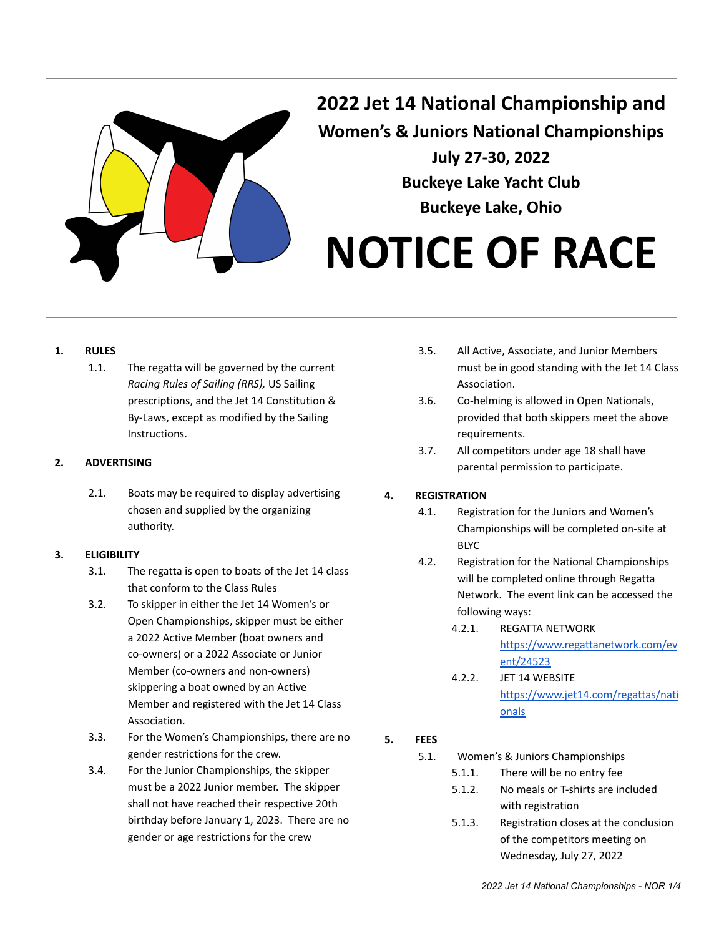

**2022 Jet 14 National Championship and Women's & Juniors National Championships July 27-30, 2022 Buckeye Lake Yacht Club Buckeye Lake, Ohio**

# **NOTICE OF RACE**

#### **1. RULES**

1.1. The regatta will be governed by the current *Racing Rules of Sailing (RRS),* US Sailing prescriptions, and the Jet 14 Constitution & By-Laws, except as modified by the Sailing Instructions.

#### **2. ADVERTISING**

2.1. Boats may be required to display advertising chosen and supplied by the organizing authority.

#### **3. ELIGIBILITY**

- 3.1. The regatta is open to boats of the Jet 14 class that conform to the Class Rules
- 3.2. To skipper in either the Jet 14 Women's or Open Championships, skipper must be either a 2022 Active Member (boat owners and co-owners) or a 2022 Associate or Junior Member (co-owners and non-owners) skippering a boat owned by an Active Member and registered with the Jet 14 Class Association.
- 3.3. For the Women's Championships, there are no gender restrictions for the crew.
- 3.4. For the Junior Championships, the skipper must be a 2022 Junior member. The skipper shall not have reached their respective 20th birthday before January 1, 2023. There are no gender or age restrictions for the crew
- 3.5. All Active, Associate, and Junior Members must be in good standing with the Jet 14 Class Association.
- 3.6. Co-helming is allowed in Open Nationals, provided that both skippers meet the above requirements.
- 3.7. All competitors under age 18 shall have parental permission to participate.

#### **4. REGISTRATION**

- 4.1. Registration for the Juniors and Women's Championships will be completed on-site at BLYC
- 4.2. Registration for the National Championships will be completed online through Regatta Network. The event link can be accessed the following ways:
	- 4.2.1. REGATTA NETWORK [https://www.regattanetwork.com/ev](https://www.regattanetwork.com/event/24523) [ent/24523](https://www.regattanetwork.com/event/24523)
	- 4.2.2. JET 14 WEBSITE [https://www.jet14.com/regattas/nati](https://www.jet14.com/regattas/nationals) [onals](https://www.jet14.com/regattas/nationals)

## **5. FEES**

5.1. Women's & Juniors Championships

- 5.1.1. There will be no entry fee
- 5.1.2. No meals or T-shirts are included with registration
- 5.1.3. Registration closes at the conclusion of the competitors meeting on Wednesday, July 27, 2022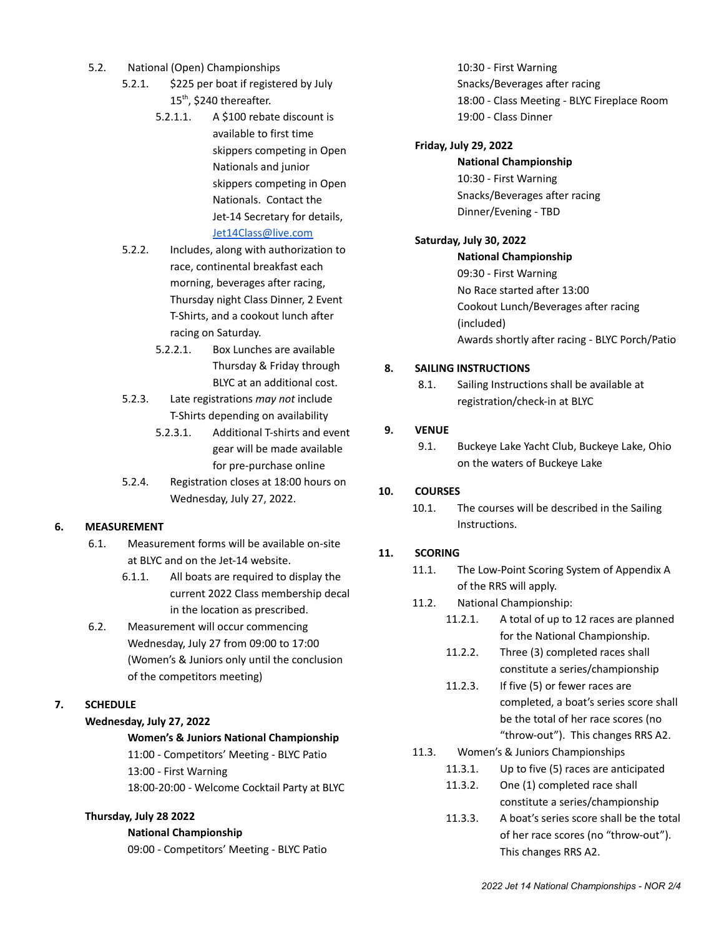- 5.2. National (Open) Championships
	- 5.2.1. \$225 per boat if registered by July 15<sup>th</sup>, \$240 thereafter.
		- 5.2.1.1. A \$100 rebate discount is available to first time skippers competing in Open Nationals and junior skippers competing in Open Nationals. Contact the Jet-14 Secretary for details, [Jet14Class@live.com](mailto:Jet14Class@live.com)
	- 5.2.2. Includes, along with authorization to race, continental breakfast each morning, beverages after racing, Thursday night Class Dinner, 2 Event T-Shirts, and a cookout lunch after racing on Saturday.
		- 5.2.2.1. Box Lunches are available Thursday & Friday through BLYC at an additional cost.
	- 5.2.3. Late registrations *may not* include T-Shirts depending on availability
		- 5.2.3.1. Additional T-shirts and event gear will be made available for pre-purchase online
	- 5.2.4. Registration closes at 18:00 hours on Wednesday, July 27, 2022.

## **6. MEASUREMENT**

- 6.1. Measurement forms will be available on-site at BLYC and on the Jet-14 website.
	- 6.1.1. All boats are required to display the current 2022 Class membership decal in the location as prescribed.
- 6.2. Measurement will occur commencing Wednesday, July 27 from 09:00 to 17:00 (Women's & Juniors only until the conclusion of the competitors meeting)

# **7. SCHEDULE**

## **Wednesday, July 27, 2022**

#### **Women's & Juniors National Championship**

11:00 - Competitors' Meeting - BLYC Patio 13:00 - First Warning 18:00-20:00 - Welcome Cocktail Party at BLYC

#### **Thursday, July 28 2022**

#### **National Championship**

09:00 - Competitors' Meeting - BLYC Patio

10:30 - First Warning Snacks/Beverages after racing 18:00 - Class Meeting - BLYC Fireplace Room 19:00 - Class Dinner

#### **Friday, July 29, 2022**

**National Championship** 10:30 - First Warning Snacks/Beverages after racing Dinner/Evening - TBD

#### **Saturday, July 30, 2022**

**National Championship** 09:30 - First Warning No Race started after 13:00 Cookout Lunch/Beverages after racing (included) Awards shortly after racing - BLYC Porch/Patio

#### **8. SAILING INSTRUCTIONS**

8.1. Sailing Instructions shall be available at registration/check-in at BLYC

#### **9. VENUE**

9.1. Buckeye Lake Yacht Club, Buckeye Lake, Ohio on the waters of Buckeye Lake

#### **10. COURSES**

10.1. The courses will be described in the Sailing Instructions.

#### **11. SCORING**

- 11.1. The Low-Point Scoring System of Appendix A of the RRS will apply.
- 11.2. National Championship:
	- 11.2.1. A total of up to 12 races are planned for the National Championship.
		- 11.2.2. Three (3) completed races shall constitute a series/championship
		- 11.2.3. If five (5) or fewer races are completed, a boat's series score shall be the total of her race scores (no "throw-out"). This changes RRS A2.
- 11.3. Women's & Juniors Championships
	- 11.3.1. Up to five (5) races are anticipated
	- 11.3.2. One (1) completed race shall constitute a series/championship
	- 11.3.3. A boat's series score shall be the total of her race scores (no "throw-out"). This changes RRS A2.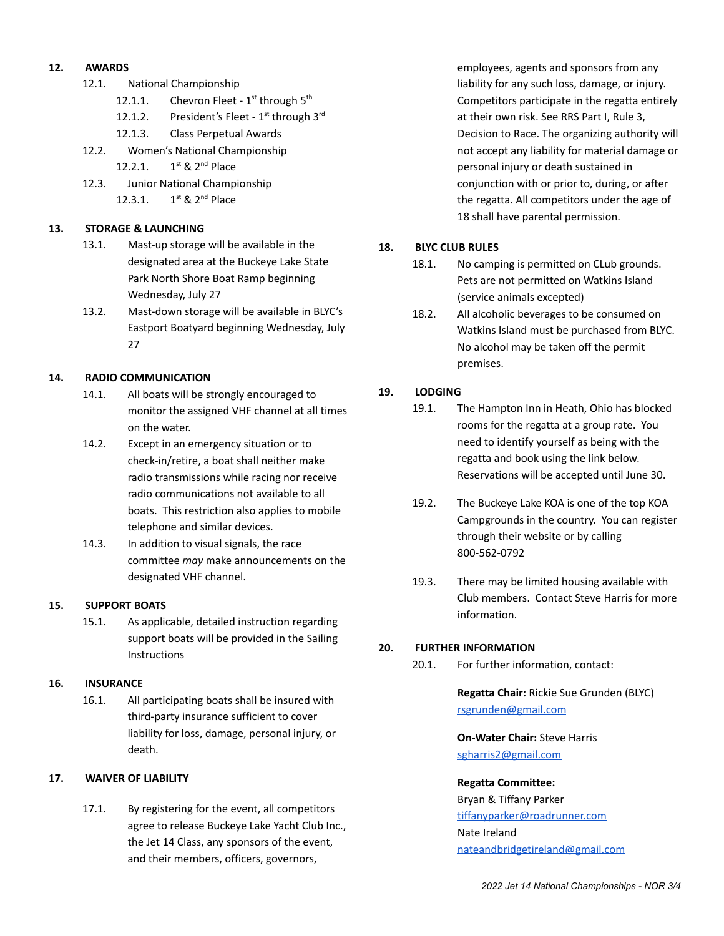#### **12. AWARDS**

- 12.1. National Championship
	- 12.1.1. Chevron Fleet  $1^{st}$  through  $5^{th}$
	- 12.1.2. President's Fleet  $1<sup>st</sup>$  through  $3<sup>rd</sup>$
	- 12.1.3. Class Perpetual Awards
- 12.2. Women's National Championship
	- $12.2.1.$ <sup>st</sup> & 2<sup>nd</sup> Place
- 12.3. Junior National Championship 12.3.1. 1 <sup>st</sup> & 2<sup>nd</sup> Place

#### **13. STORAGE & LAUNCHING**

- 13.1. Mast-up storage will be available in the designated area at the Buckeye Lake State Park North Shore Boat Ramp beginning Wednesday, July 27
- 13.2. Mast-down storage will be available in BLYC's Eastport Boatyard beginning Wednesday, July 27

#### **14. RADIO COMMUNICATION**

- 14.1. All boats will be strongly encouraged to monitor the assigned VHF channel at all times on the water.
- 14.2. Except in an emergency situation or to check-in/retire, a boat shall neither make radio transmissions while racing nor receive radio communications not available to all boats. This restriction also applies to mobile telephone and similar devices.
- 14.3. In addition to visual signals, the race committee *may* make announcements on the designated VHF channel.

#### **15. SUPPORT BOATS**

15.1. As applicable, detailed instruction regarding support boats will be provided in the Sailing **Instructions** 

#### **16. INSURANCE**

16.1. All participating boats shall be insured with third-party insurance sufficient to cover liability for loss, damage, personal injury, or death.

#### **17. WAIVER OF LIABILITY**

17.1. By registering for the event, all competitors agree to release Buckeye Lake Yacht Club Inc., the Jet 14 Class, any sponsors of the event, and their members, officers, governors,

employees, agents and sponsors from any liability for any such loss, damage, or injury. Competitors participate in the regatta entirely at their own risk. See RRS Part I, Rule 3, Decision to Race. The organizing authority will not accept any liability for material damage or personal injury or death sustained in conjunction with or prior to, during, or after the regatta. All competitors under the age of 18 shall have parental permission.

#### **18. BLYC CLUB RULES**

- 18.1. No camping is permitted on CLub grounds. Pets are not permitted on Watkins Island (service animals excepted)
- 18.2. All alcoholic beverages to be consumed on Watkins Island must be purchased from BLYC. No alcohol may be taken off the permit premises.

#### **19. LODGING**

- 19.1. The Hampton Inn in Heath, Ohio has blocked rooms for the regatta at a group rate. You need to identify yourself as being with the regatta and book using the link below. Reservations will be accepted until June 30.
- 19.2. The Buckeye Lake KOA is one of the top KOA Campgrounds in the country. You can register through their website or by calling 800-562-0792
- 19.3. There may be limited housing available with Club members. Contact Steve Harris for more information.

#### **20. FURTHER INFORMATION**

20.1. For further information, contact:

**Regatta Chair:** Rickie Sue Grunden (BLYC) [rsgrunden@gmail.com](mailto:rsgrunden@gmail.com)

**On-Water Chair:** Steve Harris [sgharris2@gmail.com](mailto:sgharris2@gmail.com)

#### **Regatta Committee:**

Bryan & Tiffany Parker [tiffanyparker@roadrunner.com](mailto:tiffanyparker@roadrunner.com) Nate Ireland [nateandbridgetireland@gmail.com](mailto:nateandbridgetireland@gmail.com)